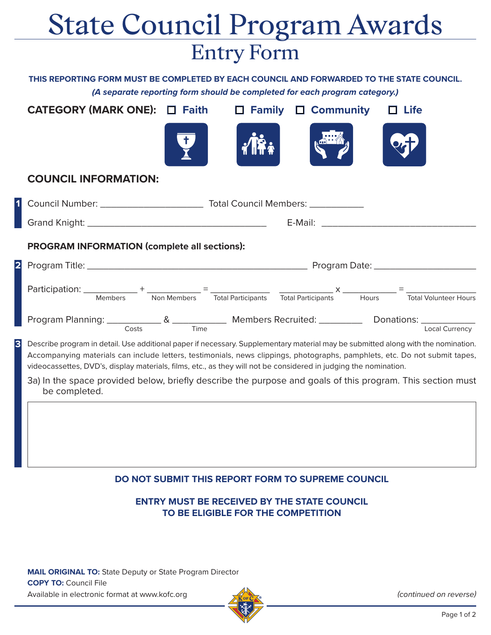## State Council Program Awards Entry Form

**THIS REPORTING FORM MUST BE COMPLETED BY EACH COUNCIL AND FORWARDED TO THE STATE COUNCIL. (A separate reporting form should be completed for each program category.)** 

| CATEGORY (MARK ONE): □ Faith<br><b>Family</b><br><b>Community</b><br><b>Life</b><br>$\Box$                                                                                                                                                                                                                                                                                           |
|--------------------------------------------------------------------------------------------------------------------------------------------------------------------------------------------------------------------------------------------------------------------------------------------------------------------------------------------------------------------------------------|
|                                                                                                                                                                                                                                                                                                                                                                                      |
| <b>COUNCIL INFORMATION:</b>                                                                                                                                                                                                                                                                                                                                                          |
|                                                                                                                                                                                                                                                                                                                                                                                      |
|                                                                                                                                                                                                                                                                                                                                                                                      |
| <b>PROGRAM INFORMATION (complete all sections):</b>                                                                                                                                                                                                                                                                                                                                  |
|                                                                                                                                                                                                                                                                                                                                                                                      |
|                                                                                                                                                                                                                                                                                                                                                                                      |
|                                                                                                                                                                                                                                                                                                                                                                                      |
| Describe program in detail. Use additional paper if necessary. Supplementary material may be submitted along with the nomination.<br>Accompanying materials can include letters, testimonials, news clippings, photographs, pamphlets, etc. Do not submit tapes,<br>videocassettes, DVD's, display materials, films, etc., as they will not be considered in judging the nomination. |
| 3a) In the space provided below, briefly describe the purpose and goals of this program. This section must<br>be completed.                                                                                                                                                                                                                                                          |
|                                                                                                                                                                                                                                                                                                                                                                                      |
|                                                                                                                                                                                                                                                                                                                                                                                      |

## **DO NOT SUBMIT THIS REPORT FORM TO SUPREME COUNCIL**

**ENTRY MUST BE RECEIVED BY THE STATE COUNCIL TO BE ELIGIBLE FOR THE COMPETITION** 

**MAIL ORIGINAL TO:** State Deputy or State Program Director **COPY TO:** Council File Available in electronic format at www.kofc.org



(continued on reverse)